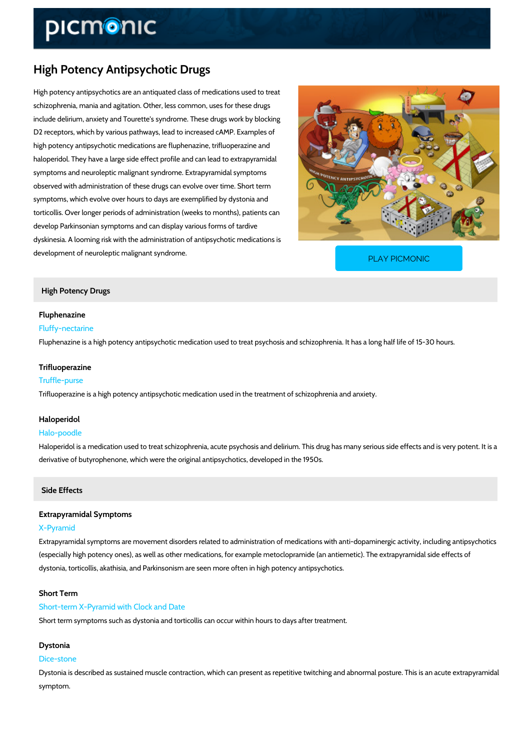# High Potency Antipsychotic Drugs

High potency antipsychotics are an antiquated class of medications used to treat schizophrenia, mania and agitation. Other, less common, uses for these drugs include delirium, anxiety and Tourette's syndrome. These drugs work by blocking D2 receptors, which by various pathways, lead to increased cAMP. Examples of high potency antipsychotic medications are fluphenazine, trifluoperazine and haloperidol. They have a large side effect profile and can lead to extrapyramidal symptoms and neuroleptic malignant syndrome. Extrapyramidal symptoms observed with administration of these drugs can evolve over time. Short term symptoms, which evolve over hours to days are exemplified by dystonia and torticollis. Over longer periods of administration (weeks to months), patients can develop Parkinsonian symptoms and can display various forms of tardive dyskinesia. A looming risk with the administration of antipsychotic medications is development of neuroleptic malignant syndrome.

[PLAY PICMONIC](https://www.picmonic.com/learn/high-potency-antipsychotic-drugs_1156?utm_source=downloadable_content&utm_medium=distributedcontent&utm_campaign=pathways_pdf&utm_content=High Potency Antipsychotic Drugs&utm_ad_group=leads&utm_market=all)

# High Potency Drugs

Fluphenazine Fluffy-nectarine Fluphenazine is a high potency antipsychotic medication used to treat psychosis and schizoph

#### Trifluoperazine

#### Truffle-purse

Trifluoperazine is a high potency antipsychotic medication used in the treatment of schizophrenia and and and an

### Haloperidol

# Halo-poodle

Haloperidol is a medication used to treat schizophrenia, acute psychosis and delirium. This d derivative of butyrophenone, which were the original antipsychotics, developed in the 1950s.

### Side Effects

# Extrapyramidal Symptoms

#### X-Pyramid

Extrapyramidal symptoms are movement disorders related to administration of medications wit (especially high potency ones), as well as other medications, for example metoclopramide (an dystonia, torticollis, akathisia, and Parkinsonism are seen more often in high potency antipsy

# Short Term

#### Short-term X-Pyramid with Clock and Date

Short term symptoms such as dystonia and torticollis can occur within hours to days after treat

#### Dystonia

### Dice-stone

Dystonia is described as sustained muscle contraction, which can present as repetitive twitch symptom.